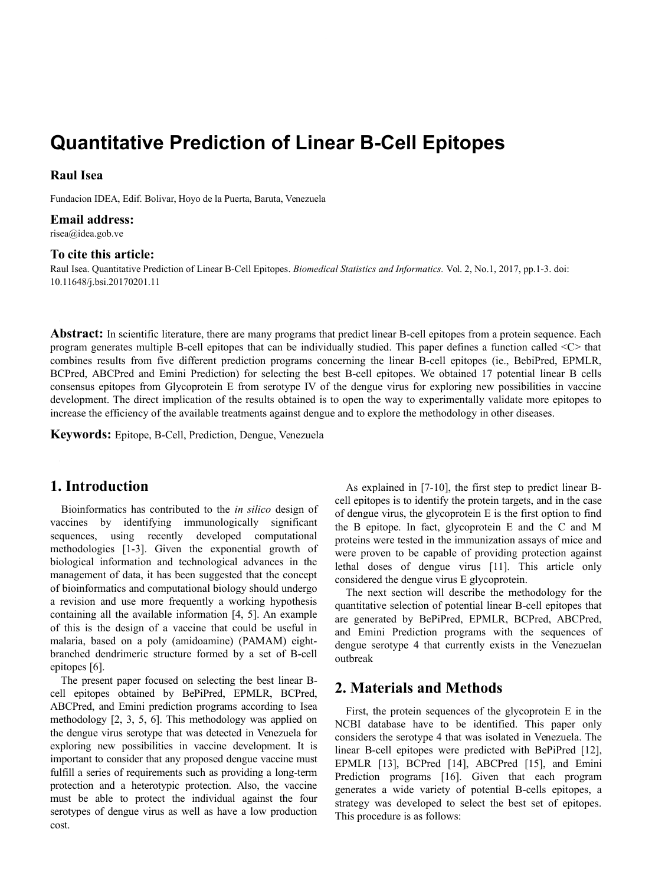# **Quantitative Prediction of Linear B-Cell Epitopes**

### **Raul Isea**

Fundacion IDEA, Edif. Bolivar, Hoyo de la Puerta, Baruta, Venezuela

#### **Email address:**

risea@idea.gob.ve

#### **To cite this article:**

Raul Isea. Quantitative Prediction of Linear B-Cell Epitopes. *Biomedical Statistics and Informatics.* Vol. 2, No.1, 2017, pp.1-3. doi: 10.11648/j.bsi.20170201.11

**Abstract:** In scientific literature, there are many programs that predict linear B-cell epitopes from a protein sequence. Each program generates multiple B-cell epitopes that can be individually studied. This paper defines a function called <C> that combines results from five different prediction programs concerning the linear B-cell epitopes (ie., BebiPred, EPMLR, BCPred, ABCPred and Emini Prediction) for selecting the best B-cell epitopes. We obtained 17 potential linear B cells consensus epitopes from Glycoprotein E from serotype IV of the dengue virus for exploring new possibilities in vaccine development. The direct implication of the results obtained is to open the way to experimentally validate more epitopes to increase the efficiency of the available treatments against dengue and to explore the methodology in other diseases.

**Keywords:** Epitope, B-Cell, Prediction, Dengue, Venezuela

## **1. Introduction**

Bioinformatics has contributed to the *in silico* design of vaccines by identifying immunologically significant sequences, using recently developed computational methodologies [1-3]. Given the exponential growth of biological information and technological advances in the management of data, it has been suggested that the concept of bioinformatics and computational biology should undergo a revision and use more frequently a working hypothesis containing all the available information [4, 5]. An example of this is the design of a vaccine that could be useful in malaria, based on a poly (amidoamine) (PAMAM) eightbranched dendrimeric structure formed by a set of B-cell epitopes [6].

The present paper focused on selecting the best linear Bcell epitopes obtained by BePiPred, EPMLR, BCPred, ABCPred, and Emini prediction programs according to Isea methodology [2, 3, 5, 6]. This methodology was applied on the dengue virus serotype that was detected in Venezuela for exploring new possibilities in vaccine development. It is important to consider that any proposed dengue vaccine must fulfill a series of requirements such as providing a long-term protection and a heterotypic protection. Also, the vaccine must be able to protect the individual against the four serotypes of dengue virus as well as have a low production cost.

As explained in [7-10], the first step to predict linear Bcell epitopes is to identify the protein targets, and in the case of dengue virus, the glycoprotein E is the first option to find the B epitope. In fact, glycoprotein E and the C and M proteins were tested in the immunization assays of mice and were proven to be capable of providing protection against lethal doses of dengue virus [11]. This article only considered the dengue virus E glycoprotein.

The next section will describe the methodology for the quantitative selection of potential linear B-cell epitopes that are generated by BePiPred, EPMLR, BCPred, ABCPred, and Emini Prediction programs with the sequences of dengue serotype 4 that currently exists in the Venezuelan outbreak

## **2. Materials and Methods**

First, the protein sequences of the glycoprotein E in the NCBI database have to be identified. This paper only considers the serotype 4 that was isolated in Venezuela. The linear B-cell epitopes were predicted with BePiPred [12], EPMLR [13], BCPred [14], ABCPred [15], and Emini Prediction programs [16]. Given that each program generates a wide variety of potential B-cells epitopes, a strategy was developed to select the best set of epitopes. This procedure is as follows: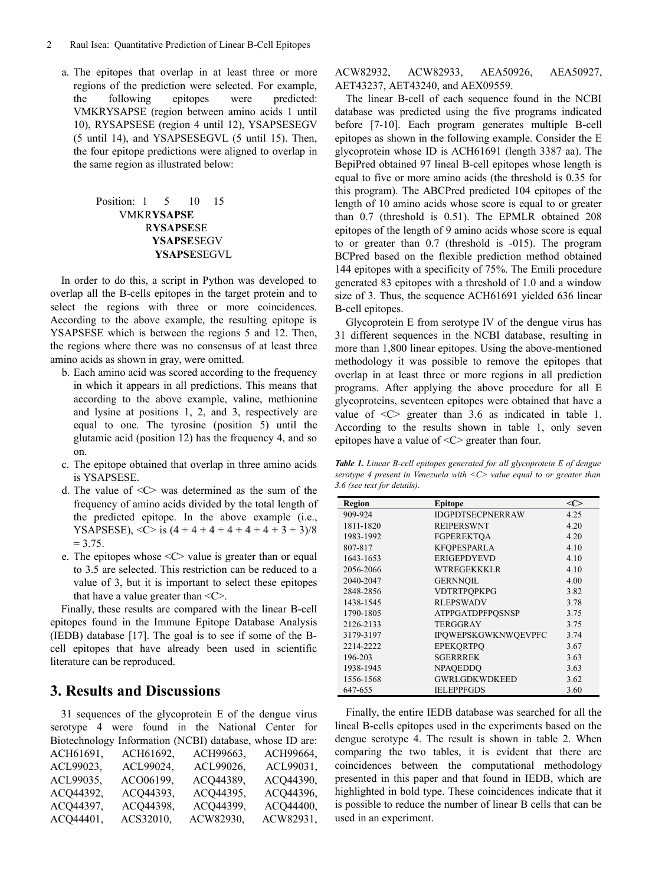a. The epitopes that overlap in at least three or more regions of the prediction were selected. For example, the following epitopes were predicted: VMKRYSAPSE (region between amino acids 1 until 10), RYSAPSESE (region 4 until 12), YSAPSESEGV (5 until 14), and YSAPSESEGVL (5 until 15). Then, the four epitope predictions were aligned to overlap in the same region as illustrated below:

## Position: 1 5 10 15 VMKR**YSAPSE** R**YSAPSE**SE **YSAPSE**SEGV **YSAPSE**SEGVL

In order to do this, a script in Python was developed to overlap all the B-cells epitopes in the target protein and to select the regions with three or more coincidences. According to the above example, the resulting epitope is YSAPSESE which is between the regions 5 and 12. Then, the regions where there was no consensus of at least three amino acids as shown in gray, were omitted.

- b. Each amino acid was scored according to the frequency in which it appears in all predictions. This means that according to the above example, valine, methionine and lysine at positions 1, 2, and 3, respectively are equal to one. The tyrosine (position 5) until the glutamic acid (position 12) has the frequency 4, and so on.
- c. The epitope obtained that overlap in three amino acids is YSAPSESE.
- d. The value of <C> was determined as the sum of the frequency of amino acids divided by the total length of the predicted epitope. In the above example (i.e., YSAPSESE),  $\langle C \rangle$  is  $(4 + 4 + 4 + 4 + 4 + 4 + 3 + 3)/8$  $= 3.75.$
- e. The epitopes whose  $\langle C \rangle$  value is greater than or equal to 3.5 are selected. This restriction can be reduced to a value of 3, but it is important to select these epitopes that have a value greater than  $\langle C \rangle$ .

Finally, these results are compared with the linear B-cell epitopes found in the Immune Epitope Database Analysis (IEDB) database [17]. The goal is to see if some of the Bcell epitopes that have already been used in scientific literature can be reproduced.

## **3. Results and Discussions**

31 sequences of the glycoprotein E of the dengue virus serotype 4 were found in the National Center for Biotechnology Information (NCBI) database, whose ID are: ACH61691, ACH61692, ACH99663, ACH99664, ACL99023, ACL99024, ACL99026, ACL99031, ACL99035, ACO06199, ACQ44389, ACQ44390, ACQ44392, ACQ44393, ACQ44395, ACQ44396, ACQ44397, ACQ44398, ACQ44399, ACQ44400,

ACQ44401, ACS32010, ACW82930, ACW82931,

ACW82932, ACW82933, AEA50926, AEA50927, AET43237, AET43240, and AEX09559.

The linear B-cell of each sequence found in the NCBI database was predicted using the five programs indicated before [7-10]. Each program generates multiple B-cell epitopes as shown in the following example. Consider the E glycoprotein whose ID is ACH61691 (length 3387 aa). The BepiPred obtained 97 lineal B-cell epitopes whose length is equal to five or more amino acids (the threshold is 0.35 for this program). The ABCPred predicted 104 epitopes of the length of 10 amino acids whose score is equal to or greater than 0.7 (threshold is 0.51). The EPMLR obtained 208 epitopes of the length of 9 amino acids whose score is equal to or greater than 0.7 (threshold is -015). The program BCPred based on the flexible prediction method obtained 144 epitopes with a specificity of 75%. The Emili procedure generated 83 epitopes with a threshold of 1.0 and a window size of 3. Thus, the sequence ACH61691 yielded 636 linear B-cell epitopes.

Glycoprotein E from serotype IV of the dengue virus has 31 different sequences in the NCBI database, resulting in more than 1,800 linear epitopes. Using the above-mentioned methodology it was possible to remove the epitopes that overlap in at least three or more regions in all prediction programs. After applying the above procedure for all E glycoproteins, seventeen epitopes were obtained that have a value of <C> greater than 3.6 as indicated in table 1. According to the results shown in table 1, only seven epitopes have a value of <C> greater than four.

*Table 1. Linear B-cell epitopes generated for all glycoprotein E of dengue serotype 4 present in Venezuela with <C> value equal to or greater than 3.6 (see text for details).*

| Region    | Epitope                    | $<\infty$ |
|-----------|----------------------------|-----------|
| 909-924   | <b>IDGPDTSECPNERRAW</b>    | 4.25      |
| 1811-1820 | <b>REIPERSWNT</b>          | 4.20      |
| 1983-1992 | <b>FGPEREKTQA</b>          | 4.20      |
| 807-817   | <b>KFOPESPARLA</b>         | 4.10      |
| 1643-1653 | <b>ERIGEPDYEVD</b>         | 4.10      |
| 2056-2066 | WTREGEKKKLR                | 4.10      |
| 2040-2047 | <b>GERNNOIL</b>            | 4.00      |
| 2848-2856 | <b>VDTRTPOPKPG</b>         | 3.82      |
| 1438-1545 | <b>RLEPSWADV</b>           | 3.78      |
| 1790-1805 | <b>ATPPGATDPFPOSNSP</b>    | 3.75      |
| 2126-2133 | <b>TERGGRAY</b>            | 3.75      |
| 3179-3197 | <b>IPOWEPSKGWKNWOEVPFC</b> | 3.74      |
| 2214-2222 | <b>EPEKORTPO</b>           | 3.67      |
| 196-203   | <b>SGERRREK</b>            | 3.63      |
| 1938-1945 | <b>NPAOEDDO</b>            | 3.63      |
| 1556-1568 | <b>GWRLGDKWDKEED</b>       | 3.62      |
| 647-655   | <b>IELEPPFGDS</b>          | 3.60      |

Finally, the entire IEDB database was searched for all the lineal B-cells epitopes used in the experiments based on the dengue serotype 4. The result is shown in table 2. When comparing the two tables, it is evident that there are coincidences between the computational methodology presented in this paper and that found in IEDB, which are highlighted in bold type. These coincidences indicate that it is possible to reduce the number of linear B cells that can be used in an experiment.